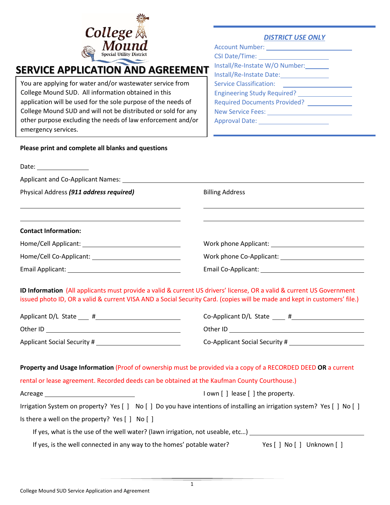

## *DISTRICT USE ONLY*

| Account Number: Name of Account Number:            |
|----------------------------------------------------|
|                                                    |
| Install/Re-Instate W/O Number:                     |
| Install/Re-Instate Date: 1999                      |
| Service Classification: <u>___________________</u> |
| Engineering Study Required? ________________       |
| <b>Required Documents Provided?</b>                |
| New Service Fees: 2008                             |
|                                                    |

# **SERVICE APPLICATION AND AGREEMENT**

You are applying for water and/or wastewater service from College Mound SUD. All information obtained in this application will be used for the sole purpose of the needs of College Mound SUD and will not be distributed or sold for any other purpose excluding the needs of law enforcement and/or emergency services.

**Please print and complete all blanks and questions**

# Date: <u>\_\_\_\_\_\_\_\_\_\_\_\_\_\_\_\_\_\_\_\_\_\_\_\_\_</u> Applicant and Co-Applicant Names: Physical Address (911 address required) Billing Address L **Contact Information:**  Home/Cell Applicant: Work phone Applicant: Home/Cell Co-Applicant: Work phone Co-Applicant: Email Applicant: Email Co-Applicant:

**ID Information** (All applicants must provide a valid & current US drivers' license, OR a valid & current US Government issued photo ID, OR a valid & current VISA AND a Social Security Card. (copies will be made and kept in customers' file.)

| Applicant D/L State                  | Ħ |
|--------------------------------------|---|
| Other ID                             |   |
| $\overline{\phantom{a}}$<br>$\cdots$ |   |

 $Co$ -Applicant D/L State  $#$ 

Other ID Other ID Other ID Other ID Other ID Other ID Other ID Other ID Other ID Other ID Other ID O

Applicant Social Security # Co-Applicant Social Security #

**Property and Usage Information** (Proof of ownership must be provided via a copy of a RECORDED DEED **OR** a current rental or lease agreement. Recorded deeds can be obtained at the Kaufman County Courthouse.)

Acreage **I amuse I own contains the property.** The property is a lown [ ] lease [ ] the property.

|  |  | Irrigation System on property? Yes [ ] No [ ] Do you have intentions of installing an irrigation system? Yes [ ] No [ ] |  |  |  |
|--|--|-------------------------------------------------------------------------------------------------------------------------|--|--|--|
|--|--|-------------------------------------------------------------------------------------------------------------------------|--|--|--|

Is there a well on the property? Yes [ ] No [ ]

If yes, what is the use of the well water? (lawn irrigation, not useable, etc…)

If yes, is the well connected in any way to the homes' potable water? Yes [ ] No [ ] Unknown [ ]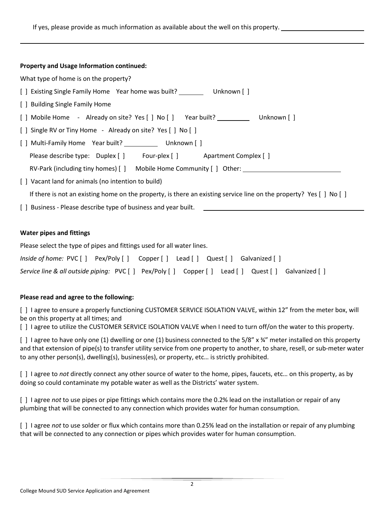|  | Property and Usage Information continued: |
|--|-------------------------------------------|
|--|-------------------------------------------|

L

| What type of home is on the property?                                                                                       |  |  |  |  |  |
|-----------------------------------------------------------------------------------------------------------------------------|--|--|--|--|--|
| [ ] Existing Single Family Home Year home was built? Unknown [ ]                                                            |  |  |  |  |  |
| [ ] Building Single Family Home                                                                                             |  |  |  |  |  |
| [] Mobile Home - Already on site? Yes [] No [] Year built? Unknown []                                                       |  |  |  |  |  |
| [ ] Single RV or Tiny Home - Already on site? Yes [ ] No [ ]                                                                |  |  |  |  |  |
| [ ] Multi-Family Home Year built? Unknown [ ]                                                                               |  |  |  |  |  |
| Please describe type: Duplex [] Four-plex [] Apartment Complex []                                                           |  |  |  |  |  |
| RV-Park (including tiny homes) [ ] Mobile Home Community [ ] Other: ____________                                            |  |  |  |  |  |
| [ ] Vacant land for animals (no intention to build)                                                                         |  |  |  |  |  |
| If there is not an existing home on the property, is there an existing service line on the property? Yes $[ \ ]$ No $[ \ ]$ |  |  |  |  |  |
| [ ] Business - Please describe type of business and year built.                                                             |  |  |  |  |  |

#### **Water pipes and fittings**

Please select the type of pipes and fittings used for all water lines.

| Inside of home: PVC [] Pex/Poly [] Copper [] Lead [] Quest [] Galvanized []                    |  |  |  |
|------------------------------------------------------------------------------------------------|--|--|--|
| Service line & all outside piping: PVC [] Pex/Poly [] Copper [] Lead [] Quest [] Galvanized [] |  |  |  |

# **Please read and agree to the following:**

[ ] I agree to ensure a properly functioning CUSTOMER SERVICE ISOLATION VALVE, within 12" from the meter box, will be on this property at all times; and

[ ] I agree to utilize the CUSTOMER SERVICE ISOLATION VALVE when I need to turn off/on the water to this property.

[ ] I agree to have only one (1) dwelling or one (1) business connected to the 5/8" x  $\frac{3}{4}$ " meter installed on this property and that extension of pipe(s) to transfer utility service from one property to another, to share, resell, or sub-meter water to any other person(s), dwelling(s), business(es), or property, etc… is strictly prohibited.

[ ] I agree to *not* directly connect any other source of water to the home, pipes, faucets, etc… on this property, as by doing so could contaminate my potable water as well as the Districts' water system.

[ ] I agree *not* to use pipes or pipe fittings which contains more the 0.2% lead on the installation or repair of any plumbing that will be connected to any connection which provides water for human consumption.

[ ] I agree *not* to use solder or flux which contains more than 0.25% lead on the installation or repair of any plumbing that will be connected to any connection or pipes which provides water for human consumption.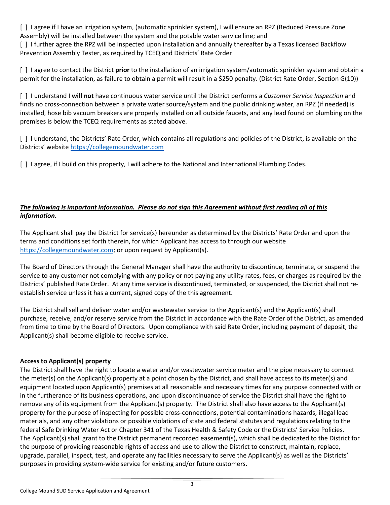[ ] I agree if I have an irrigation system, (automatic sprinkler system), I will ensure an RPZ (Reduced Pressure Zone Assembly) will be installed between the system and the potable water service line; and

[ ] I further agree the RPZ will be inspected upon installation and annually thereafter by a Texas licensed Backflow Prevention Assembly Tester, as required by TCEQ and Districts' Rate Order

[ ] I agree to contact the District **prior** to the installation of an irrigation system/automatic sprinkler system and obtain a permit for the installation, as failure to obtain a permit will result in a \$250 penalty. (District Rate Order, Section G(10))

[ ] I understand I **will not** have continuous water service until the District performs a *Customer Service Inspection* and finds no cross-connection between a private water source/system and the public drinking water, an RPZ (if needed) is installed, hose bib vacuum breakers are properly installed on all outside faucets, and any lead found on plumbing on the premises is below the TCEQ requirements as stated above.

[ ] I understand, the Districts' Rate Order, which contains all regulations and policies of the District, is available on the Districts' website [https://collegemoundwater.com](https://collegemoundwater.com/) 

[ ] I agree, if I build on this property, I will adhere to the National and International Plumbing Codes.

# *The following is important information. Please do not sign this Agreement without first reading all of this information.*

The Applicant shall pay the District for service(s) hereunder as determined by the Districts' Rate Order and upon the terms and conditions set forth therein, for which Applicant has access to through our website [https://collegemoundwater.com;](https://collegemoundwater.com/) or upon request by Applicant(s).

The Board of Directors through the General Manager shall have the authority to discontinue, terminate, or suspend the service to any customer not complying with any policy or not paying any utility rates, fees, or charges as required by the Districts' published Rate Order. At any time service is discontinued, terminated, or suspended, the District shall not reestablish service unless it has a current, signed copy of the this agreement.

The District shall sell and deliver water and/or wastewater service to the Applicant(s) and the Applicant(s) shall purchase, receive, and/or reserve service from the District in accordance with the Rate Order of the District, as amended from time to time by the Board of Directors. Upon compliance with said Rate Order, including payment of deposit, the Applicant(s) shall become eligible to receive service.

# **Access to Applicant(s) property**

The District shall have the right to locate a water and/or wastewater service meter and the pipe necessary to connect the meter(s) on the Applicant(s) property at a point chosen by the District, and shall have access to its meter(s) and equipment located upon Applicant(s) premises at all reasonable and necessary times for any purpose connected with or in the furtherance of its business operations, and upon discontinuance of service the District shall have the right to remove any of its equipment from the Applicant(s) property. The District shall also have access to the Applicant(s) property for the purpose of inspecting for possible cross-connections, potential contaminations hazards, illegal lead materials, and any other violations or possible violations of state and federal statutes and regulations relating to the federal Safe Drinking Water Act or Chapter 341 of the Texas Health & Safety Code or the Districts' Service Policies. The Applicant(s) shall grant to the District permanent recorded easement(s), which shall be dedicated to the District for the purpose of providing reasonable rights of access and use to allow the District to construct, maintain, replace, upgrade, parallel, inspect, test, and operate any facilities necessary to serve the Applicant(s) as well as the Districts' purposes in providing system-wide service for existing and/or future customers.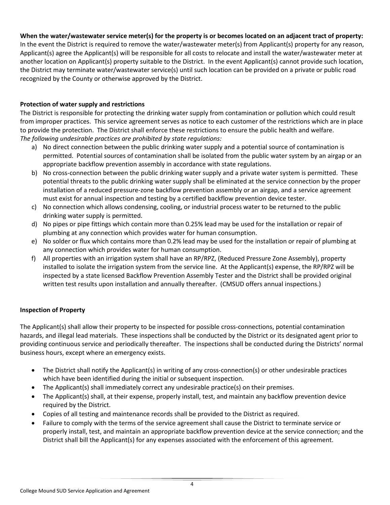# **When the water/wastewater service meter(s) for the property is or becomes located on an adjacent tract of property:**

In the event the District is required to remove the water/wastewater meter(s) from Applicant(s) property for any reason, Applicant(s) agree the Applicant(s) will be responsible for all costs to relocate and install the water/wastewater meter at another location on Applicant(s) property suitable to the District. In the event Applicant(s) cannot provide such location, the District may terminate water/wastewater service(s) until such location can be provided on a private or public road recognized by the County or otherwise approved by the District.

## **Protection of water supply and restrictions**

The District is responsible for protecting the drinking water supply from contamination or pollution which could result from improper practices. This service agreement serves as notice to each customer of the restrictions which are in place to provide the protection. The District shall enforce these restrictions to ensure the public health and welfare. *The following undesirable practices are prohibited by state regulations:*

- a) No direct connection between the public drinking water supply and a potential source of contamination is permitted. Potential sources of contamination shall be isolated from the public water system by an airgap or an appropriate backflow prevention assembly in accordance with state regulations.
- b) No cross-connection between the public drinking water supply and a private water system is permitted. These potential threats to the public drinking water supply shall be eliminated at the service connection by the proper installation of a reduced pressure-zone backflow prevention assembly or an airgap, and a service agreement must exist for annual inspection and testing by a certified backflow prevention device tester.
- c) No connection which allows condensing, cooling, or industrial process water to be returned to the public drinking water supply is permitted.
- d) No pipes or pipe fittings which contain more than 0.25% lead may be used for the installation or repair of plumbing at any connection which provides water for human consumption.
- e) No solder or flux which contains more than 0.2% lead may be used for the installation or repair of plumbing at any connection which provides water for human consumption.
- f) All properties with an irrigation system shall have an RP/RPZ, (Reduced Pressure Zone Assembly), property installed to isolate the irrigation system from the service line. At the Applicant(s) expense, the RP/RPZ will be inspected by a state licensed Backflow Prevention Assembly Tester and the District shall be provided original written test results upon installation and annually thereafter. (CMSUD offers annual inspections.)

# **Inspection of Property**

The Applicant(s) shall allow their property to be inspected for possible cross-connections, potential contamination hazards, and illegal lead materials. These inspections shall be conducted by the District or its designated agent prior to providing continuous service and periodically thereafter. The inspections shall be conducted during the Districts' normal business hours, except where an emergency exists.

- The District shall notify the Applicant(s) in writing of any cross-connection(s) or other undesirable practices which have been identified during the initial or subsequent inspection.
- The Applicant(s) shall immediately correct any undesirable practice(s) on their premises.
- The Applicant(s) shall, at their expense, properly install, test, and maintain any backflow prevention device required by the District.
- Copies of all testing and maintenance records shall be provided to the District as required.
- Failure to comply with the terms of the service agreement shall cause the District to terminate service or properly install, test, and maintain an appropriate backflow prevention device at the service connection; and the District shall bill the Applicant(s) for any expenses associated with the enforcement of this agreement.